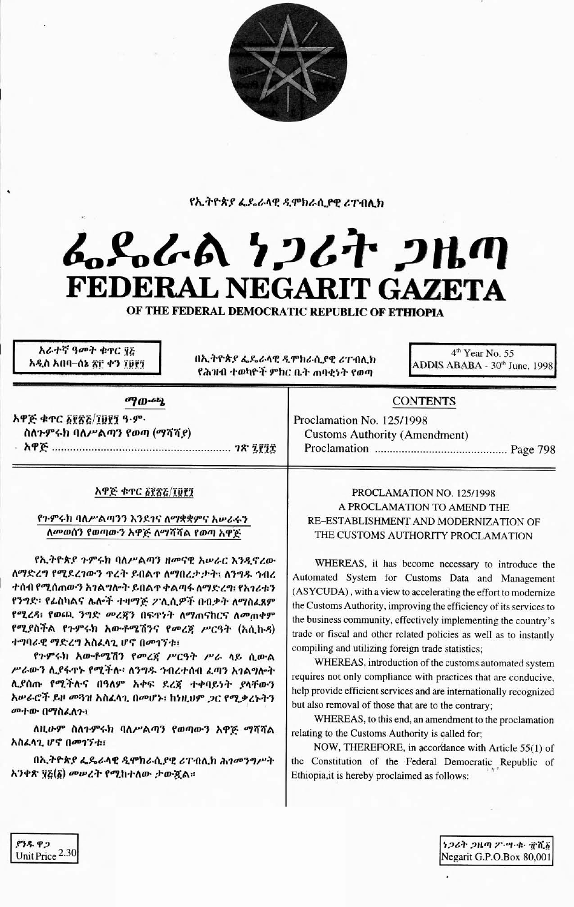

የኢትዮጵያ ፌዴራላዊ ዲሞክራሲያዊ ሪፐብሊክ

# んぺんよ ケンムヤ つルの FEDERAL NEGARIT GAZETA

OF THE FEDERAL DEMOCRATIC REPUBLIC OF ETHIOPIA

አራተኛ ዓመት ቁጥር ሃጅ አዲስ አበባ–ሰኔ ፳፫ ቀን ፲፱፻፺

በኢትዮጵያ ፌዴራላዊ ዲሞክራሲያዊ ሪፐብሊክ የሕዝብ ተወካዮች ምክር ቤት ጠባቂነት የወጣ

4<sup>th</sup> Year No. 55 ADDIS ABABA - 30th June, 1998

ማውጫ

አዋጅ ቁጥር δየጽፚ/፲፱፻፺ ዓ.ም. ስለጉምሩክ ባለሥልጣን የወጣ (ማሻሻያ) 

## አዋጅ ቁጥር ፩፻፳፭/፲፱፻፺

## የጉምሩክ ባለሥልጣንን እንደገና ለማቋቋምና አሥራሩን ለመወሰን የወጣውን አዋጅ ለማሻሻል የወጣ አዋጅ

የኢትዮጵያ ጉምሩክ ባለሥልጣን ዘመናዊ አሠራር እንዲኖረው ለማድረግ የሚደረገውን ዋረት ይበልዋ ለማበረታታት፣ ለንግዱ ኅብረ ተሰብ የሚሰጠውን አገልግሎት ይበልጥ ቀልጣፋ ለማድረግ፣ የአገሪቱን የንግድ፡ የፊስካልና ሌሎች ተዛማጅ ፖሊሲዎች በብቃት ለማስፈጸም የሚረዳ፡ የወጪ ንግድ መረጃን በፍተነት ለማጠናከርና ለመጠቀም የሚያስችል የጉምሩክ አውቶሜሽንና የመረጃ ሥርዓት (አሲኩዳ) ተግባራዊ ማድረግ አስፈላጊ ሆኖ በመገኘቱ፣

የጉምሩክ አውቶሜሽን የመረጃ ሥርዓት ሥራ ላይ ሲውል ሥራውን ሊያፋዋኑ የሚችሉ፡ ለንግዱ ኅብረተሰብ ፈጣን አገልግሎት ሊያሰጡ የሚችሉና በዓለም አቀፍ ደረጃ ተቀባይነት ያላቸውን አሥራሮች ይዞ መጓዝ አስፈላጊ በመሆኑ፣ ከነዚህም ጋር የሚቃረኑትን መተው በማስፈለጉ፡

ለዚሁም ስለጉምሩክ ባለሥልጣን የወጣውን አዋጅ ማሻሻል አስፈላጊ ሆኖ በመገኘቱ፣

በኢትዮጵያ ፌዴራላዊ ዲሞክራሲያዊ ሪፐብሊክ ሕገመንግሥት አንቀጽ ፶፩(፩) መሥረት የሚከተለው ታውጇል።

## PROCLAMATION NO. 125/1998 A PROCLAMATION TO AMEND THE

**CONTENTS** 

Proclamation No. 125/1998

**Customs Authority (Amendment)** 

## RE-ESTABLISHMENT AND MODERNIZATION OF THE CUSTOMS AUTHORITY PROCLAMATION

WHEREAS, it has become necessary to introduce the Automated System for Customs Data and Management (ASYCUDA), with a view to accelerating the effort to modernize the Customs Authority, improving the efficiency of its services to the business community, effectively implementing the country's trade or fiscal and other related policies as well as to instantly compiling and utilizing foreign trade statistics;

WHEREAS, introduction of the customs automated system requires not only compliance with practices that are conducive, help provide efficient services and are internationally recognized but also removal of those that are to the contrary;

WHEREAS, to this end, an amendment to the proclamation relating to the Customs Authority is called for;

NOW, THEREFORE, in accordance with Article 55(1) of the Constitution of the Federal Democratic Republic of Ethiopia, it is hereby proclaimed as follows: